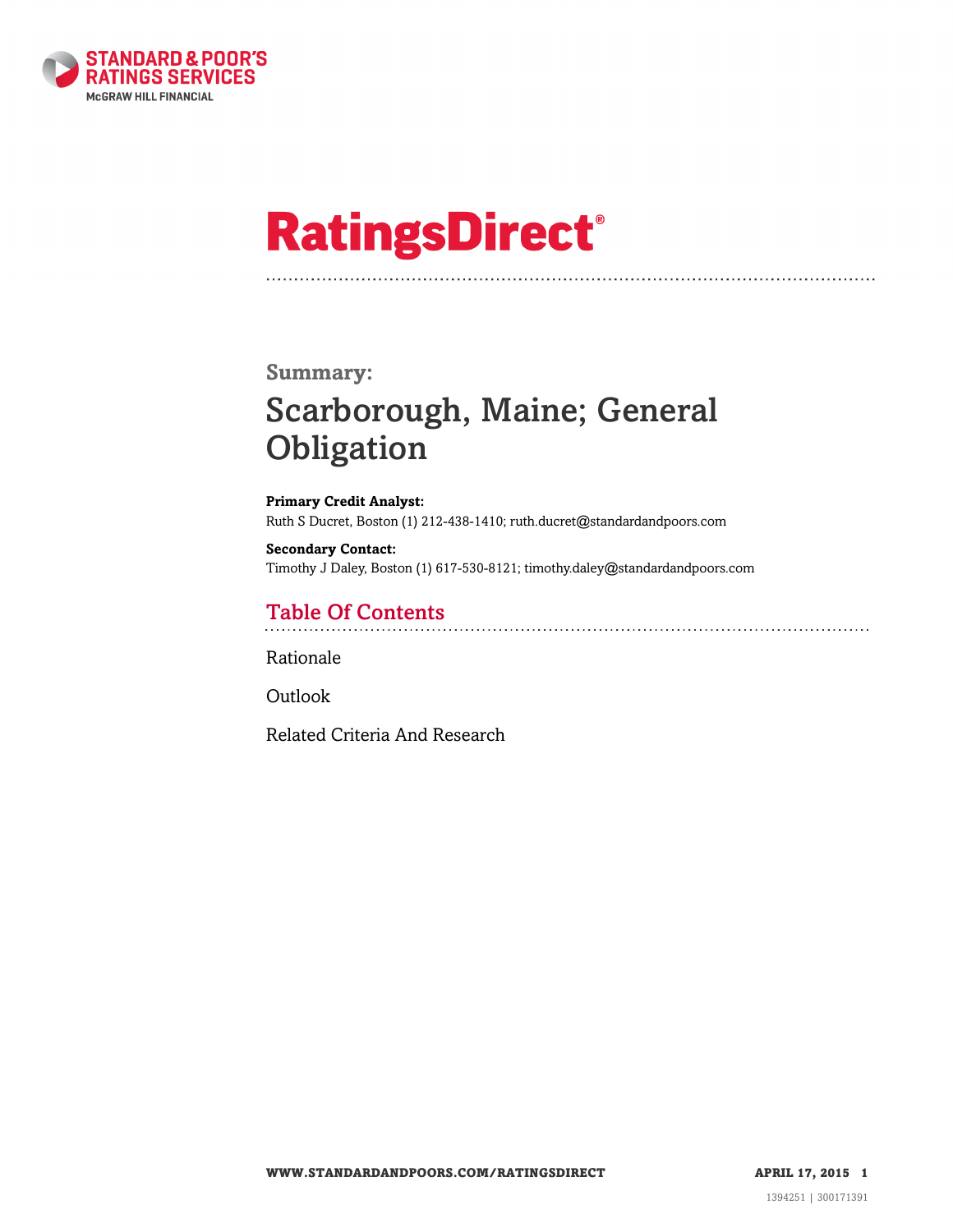

# **RatingsDirect®**

### **Summary:**

# Scarborough, Maine; General **Obligation**

**Primary Credit Analyst:** Ruth S Ducret, Boston (1) 212-438-1410; ruth.ducret@standardandpoors.com

**Secondary Contact:** Timothy J Daley, Boston (1) 617-530-8121; timothy.daley@standardandpoors.com

# Table Of Contents

[Rationale](#page-1-0)

[Outlook](#page-3-0)

[Related Criteria And Research](#page-3-1)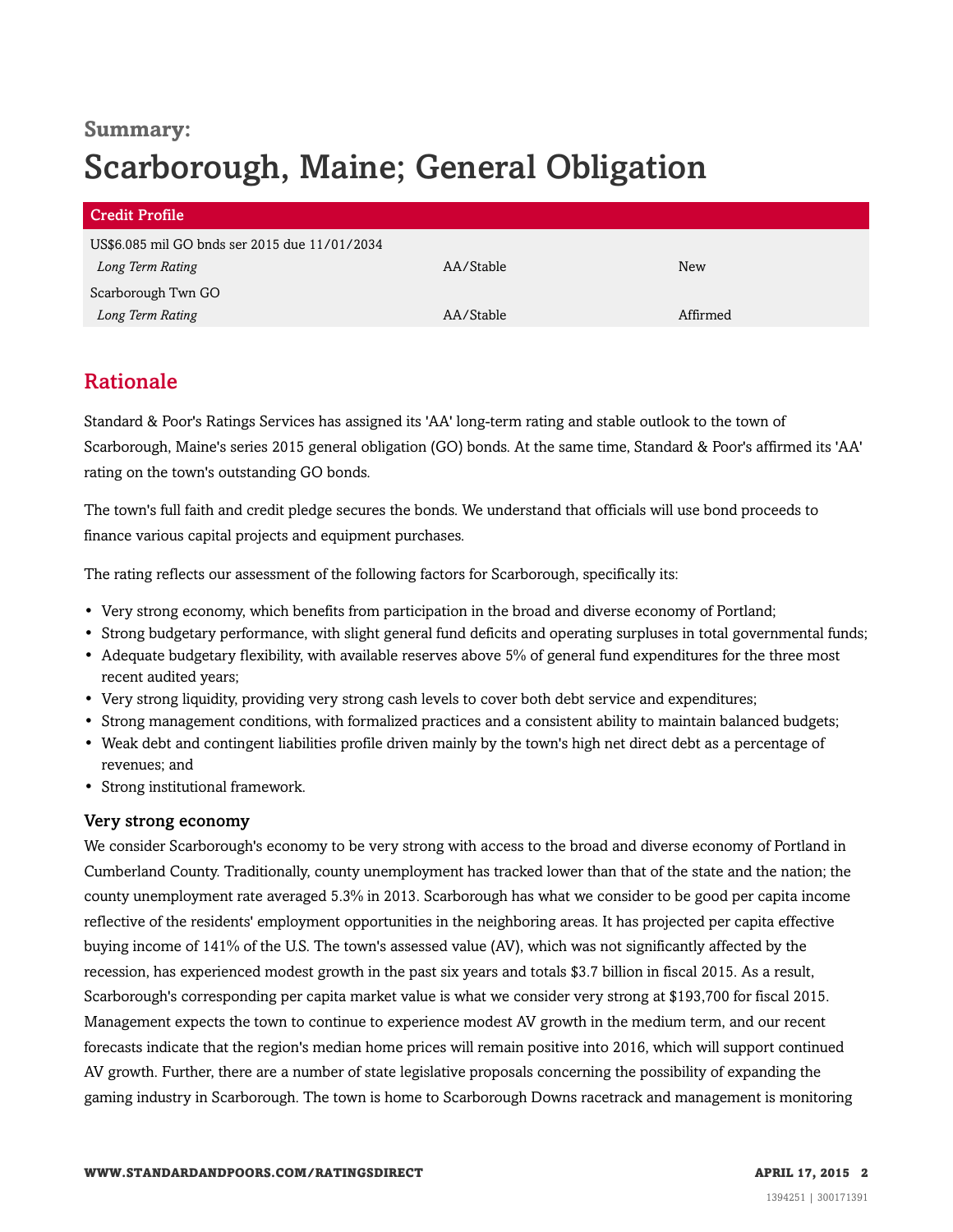# **Summary:** Scarborough, Maine; General Obligation

| <b>Credit Profile</b>                         |           |            |  |
|-----------------------------------------------|-----------|------------|--|
| US\$6.085 mil GO bnds ser 2015 due 11/01/2034 |           |            |  |
| Long Term Rating                              | AA/Stable | <b>New</b> |  |
| Scarborough Twn GO                            |           |            |  |
| Long Term Rating                              | AA/Stable | Affirmed   |  |

# <span id="page-1-0"></span>Rationale

Standard & Poor's Ratings Services has assigned its 'AA' long-term rating and stable outlook to the town of Scarborough, Maine's series 2015 general obligation (GO) bonds. At the same time, Standard & Poor's affirmed its 'AA' rating on the town's outstanding GO bonds.

The town's full faith and credit pledge secures the bonds. We understand that officials will use bond proceeds to finance various capital projects and equipment purchases.

The rating reflects our assessment of the following factors for Scarborough, specifically its:

- Very strong economy, which benefits from participation in the broad and diverse economy of Portland;
- Strong budgetary performance, with slight general fund deficits and operating surpluses in total governmental funds;
- Adequate budgetary flexibility, with available reserves above 5% of general fund expenditures for the three most recent audited years;
- Very strong liquidity, providing very strong cash levels to cover both debt service and expenditures;
- Strong management conditions, with formalized practices and a consistent ability to maintain balanced budgets;
- Weak debt and contingent liabilities profile driven mainly by the town's high net direct debt as a percentage of revenues; and
- Strong institutional framework.

#### Very strong economy

We consider Scarborough's economy to be very strong with access to the broad and diverse economy of Portland in Cumberland County. Traditionally, county unemployment has tracked lower than that of the state and the nation; the county unemployment rate averaged 5.3% in 2013. Scarborough has what we consider to be good per capita income reflective of the residents' employment opportunities in the neighboring areas. It has projected per capita effective buying income of 141% of the U.S. The town's assessed value (AV), which was not significantly affected by the recession, has experienced modest growth in the past six years and totals \$3.7 billion in fiscal 2015. As a result, Scarborough's corresponding per capita market value is what we consider very strong at \$193,700 for fiscal 2015. Management expects the town to continue to experience modest AV growth in the medium term, and our recent forecasts indicate that the region's median home prices will remain positive into 2016, which will support continued AV growth. Further, there are a number of state legislative proposals concerning the possibility of expanding the gaming industry in Scarborough. The town is home to Scarborough Downs racetrack and management is monitoring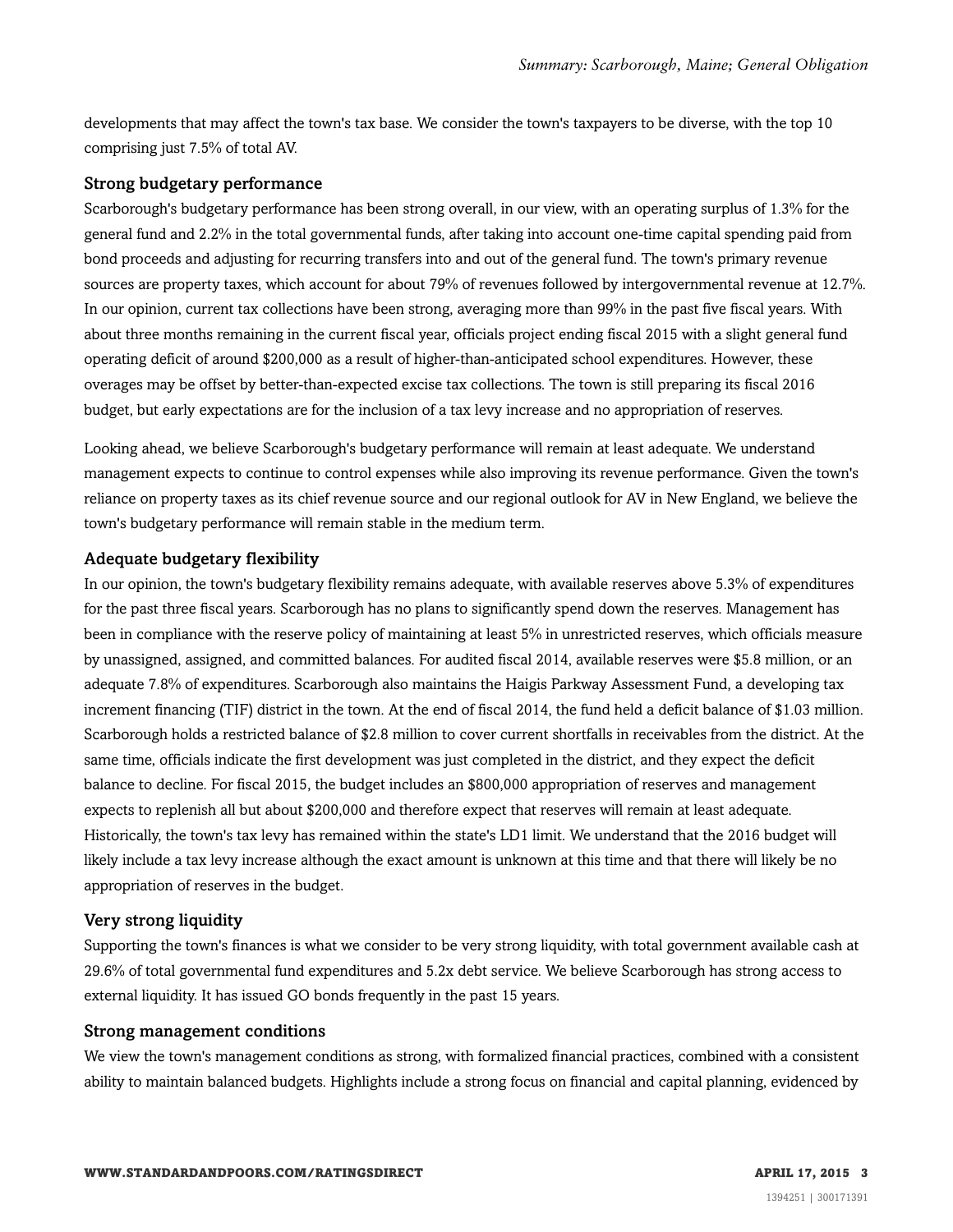developments that may affect the town's tax base. We consider the town's taxpayers to be diverse, with the top 10 comprising just 7.5% of total AV.

#### Strong budgetary performance

Scarborough's budgetary performance has been strong overall, in our view, with an operating surplus of 1.3% for the general fund and 2.2% in the total governmental funds, after taking into account one-time capital spending paid from bond proceeds and adjusting for recurring transfers into and out of the general fund. The town's primary revenue sources are property taxes, which account for about 79% of revenues followed by intergovernmental revenue at 12.7%. In our opinion, current tax collections have been strong, averaging more than 99% in the past five fiscal years. With about three months remaining in the current fiscal year, officials project ending fiscal 2015 with a slight general fund operating deficit of around \$200,000 as a result of higher-than-anticipated school expenditures. However, these overages may be offset by better-than-expected excise tax collections. The town is still preparing its fiscal 2016 budget, but early expectations are for the inclusion of a tax levy increase and no appropriation of reserves.

Looking ahead, we believe Scarborough's budgetary performance will remain at least adequate. We understand management expects to continue to control expenses while also improving its revenue performance. Given the town's reliance on property taxes as its chief revenue source and our regional outlook for AV in New England, we believe the town's budgetary performance will remain stable in the medium term.

#### Adequate budgetary flexibility

In our opinion, the town's budgetary flexibility remains adequate, with available reserves above 5.3% of expenditures for the past three fiscal years. Scarborough has no plans to significantly spend down the reserves. Management has been in compliance with the reserve policy of maintaining at least 5% in unrestricted reserves, which officials measure by unassigned, assigned, and committed balances. For audited fiscal 2014, available reserves were \$5.8 million, or an adequate 7.8% of expenditures. Scarborough also maintains the Haigis Parkway Assessment Fund, a developing tax increment financing (TIF) district in the town. At the end of fiscal 2014, the fund held a deficit balance of \$1.03 million. Scarborough holds a restricted balance of \$2.8 million to cover current shortfalls in receivables from the district. At the same time, officials indicate the first development was just completed in the district, and they expect the deficit balance to decline. For fiscal 2015, the budget includes an \$800,000 appropriation of reserves and management expects to replenish all but about \$200,000 and therefore expect that reserves will remain at least adequate. Historically, the town's tax levy has remained within the state's LD1 limit. We understand that the 2016 budget will likely include a tax levy increase although the exact amount is unknown at this time and that there will likely be no appropriation of reserves in the budget.

#### Very strong liquidity

Supporting the town's finances is what we consider to be very strong liquidity, with total government available cash at 29.6% of total governmental fund expenditures and 5.2x debt service. We believe Scarborough has strong access to external liquidity. It has issued GO bonds frequently in the past 15 years.

#### Strong management conditions

We view the town's management conditions as strong, with formalized financial practices, combined with a consistent ability to maintain balanced budgets. Highlights include a strong focus on financial and capital planning, evidenced by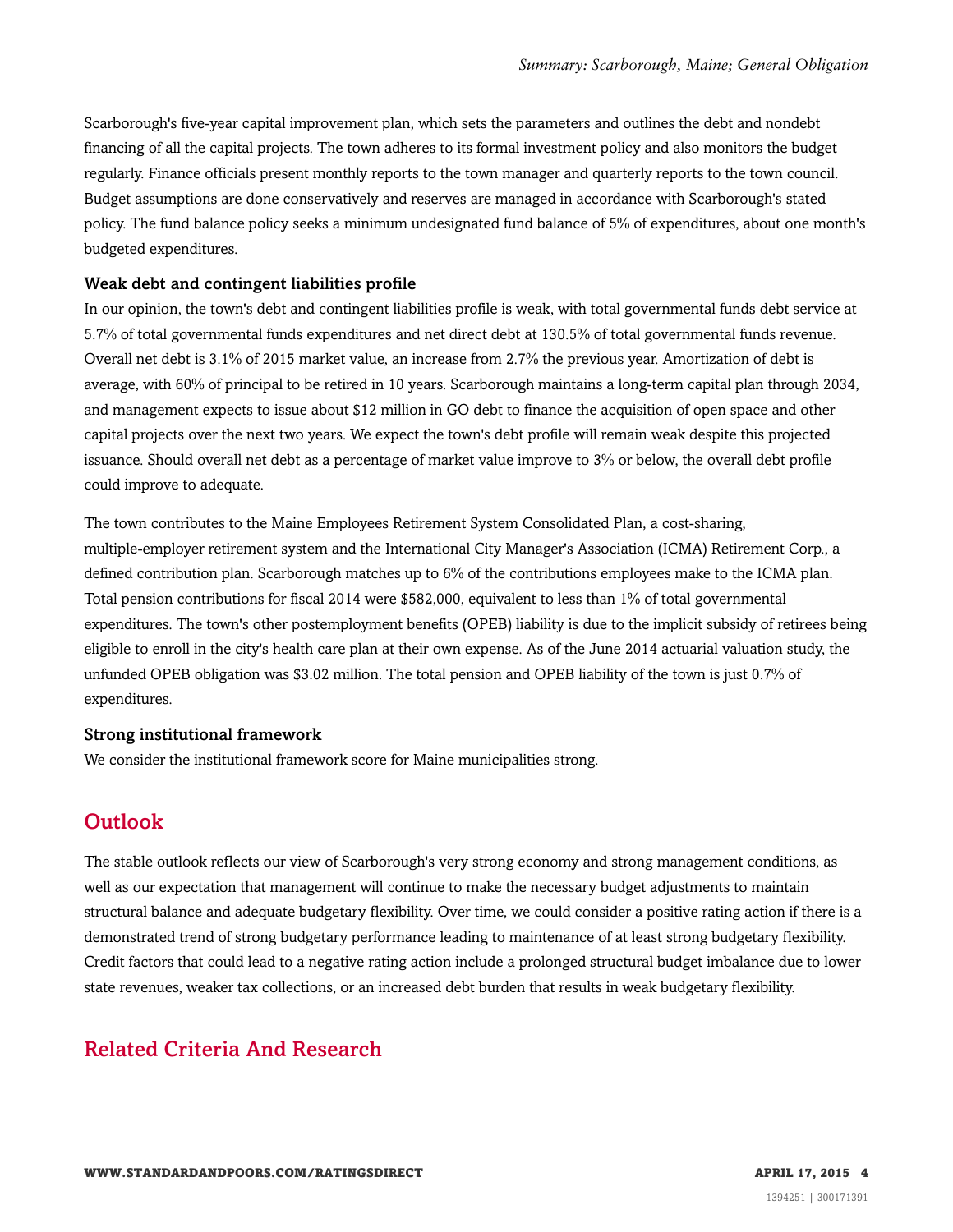Scarborough's five-year capital improvement plan, which sets the parameters and outlines the debt and nondebt financing of all the capital projects. The town adheres to its formal investment policy and also monitors the budget regularly. Finance officials present monthly reports to the town manager and quarterly reports to the town council. Budget assumptions are done conservatively and reserves are managed in accordance with Scarborough's stated policy. The fund balance policy seeks a minimum undesignated fund balance of 5% of expenditures, about one month's budgeted expenditures.

#### Weak debt and contingent liabilities profile

In our opinion, the town's debt and contingent liabilities profile is weak, with total governmental funds debt service at 5.7% of total governmental funds expenditures and net direct debt at 130.5% of total governmental funds revenue. Overall net debt is 3.1% of 2015 market value, an increase from 2.7% the previous year. Amortization of debt is average, with 60% of principal to be retired in 10 years. Scarborough maintains a long-term capital plan through 2034, and management expects to issue about \$12 million in GO debt to finance the acquisition of open space and other capital projects over the next two years. We expect the town's debt profile will remain weak despite this projected issuance. Should overall net debt as a percentage of market value improve to 3% or below, the overall debt profile could improve to adequate.

The town contributes to the Maine Employees Retirement System Consolidated Plan, a cost-sharing, multiple-employer retirement system and the International City Manager's Association (ICMA) Retirement Corp., a defined contribution plan. Scarborough matches up to 6% of the contributions employees make to the ICMA plan. Total pension contributions for fiscal 2014 were \$582,000, equivalent to less than 1% of total governmental expenditures. The town's other postemployment benefits (OPEB) liability is due to the implicit subsidy of retirees being eligible to enroll in the city's health care plan at their own expense. As of the June 2014 actuarial valuation study, the unfunded OPEB obligation was \$3.02 million. The total pension and OPEB liability of the town is just 0.7% of expenditures.

#### Strong institutional framework

<span id="page-3-0"></span>We consider the institutional framework score for Maine municipalities strong.

### **Outlook**

The stable outlook reflects our view of Scarborough's very strong economy and strong management conditions, as well as our expectation that management will continue to make the necessary budget adjustments to maintain structural balance and adequate budgetary flexibility. Over time, we could consider a positive rating action if there is a demonstrated trend of strong budgetary performance leading to maintenance of at least strong budgetary flexibility. Credit factors that could lead to a negative rating action include a prolonged structural budget imbalance due to lower state revenues, weaker tax collections, or an increased debt burden that results in weak budgetary flexibility.

# <span id="page-3-1"></span>Related Criteria And Research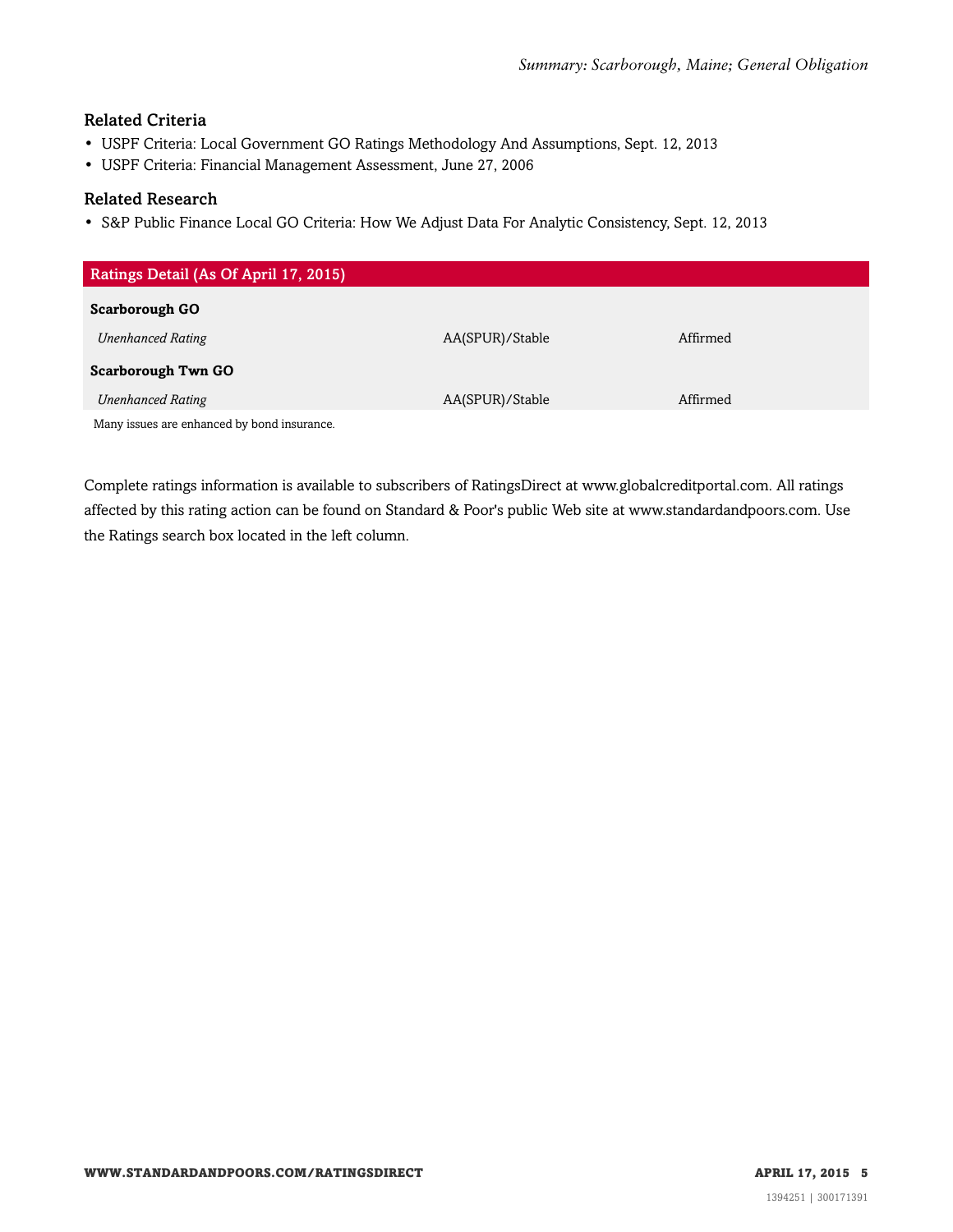#### Related Criteria

- USPF Criteria: Local Government GO Ratings Methodology And Assumptions, Sept. 12, 2013
- USPF Criteria: Financial Management Assessment, June 27, 2006

#### Related Research

• S&P Public Finance Local GO Criteria: How We Adjust Data For Analytic Consistency, Sept. 12, 2013

| Ratings Detail (As Of April 17, 2015)       |                 |          |  |
|---------------------------------------------|-----------------|----------|--|
| <b>Scarborough GO</b>                       |                 |          |  |
|                                             |                 |          |  |
| <b>Unenhanced Rating</b>                    | AA(SPUR)/Stable | Affirmed |  |
| <b>Scarborough Twn GO</b>                   |                 |          |  |
| <b>Unenhanced Rating</b>                    | AA(SPUR)/Stable | Affirmed |  |
| Many issues are enhanced by bond insurance. |                 |          |  |

Complete ratings information is available to subscribers of RatingsDirect at www.globalcreditportal.com. All ratings affected by this rating action can be found on Standard & Poor's public Web site at www.standardandpoors.com. Use the Ratings search box located in the left column.